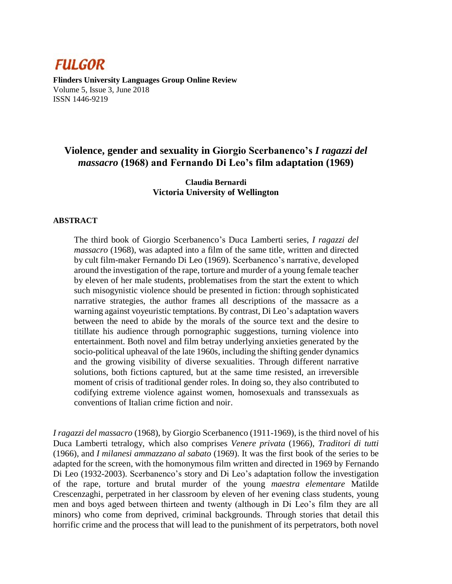

**Flinders University Languages Group Online Review** Volume 5, Issue 3, June 2018 ISSN 1446-9219

# **Violence, gender and sexuality in Giorgio Scerbanenco's** *I ragazzi del massacro* **(1968) and Fernando Di Leo's film adaptation (1969)**

# **Claudia Bernardi Victoria University of Wellington**

## **ABSTRACT**

The third book of Giorgio Scerbanenco's Duca Lamberti series, *I ragazzi del massacro* (1968), was adapted into a film of the same title, written and directed by cult film-maker Fernando Di Leo (1969). Scerbanenco's narrative, developed around the investigation of the rape, torture and murder of a young female teacher by eleven of her male students, problematises from the start the extent to which such misogynistic violence should be presented in fiction: through sophisticated narrative strategies, the author frames all descriptions of the massacre as a warning against voyeuristic temptations. By contrast, Di Leo's adaptation wavers between the need to abide by the morals of the source text and the desire to titillate his audience through pornographic suggestions, turning violence into entertainment. Both novel and film betray underlying anxieties generated by the socio-political upheaval of the late 1960s, including the shifting gender dynamics and the growing visibility of diverse sexualities. Through different narrative solutions, both fictions captured, but at the same time resisted, an irreversible moment of crisis of traditional gender roles. In doing so, they also contributed to codifying extreme violence against women, homosexuals and transsexuals as conventions of Italian crime fiction and noir.

*I ragazzi del massacro* (1968), by Giorgio Scerbanenco (1911-1969), is the third novel of his Duca Lamberti tetralogy, which also comprises *Venere privata* (1966), *Traditori di tutti*  (1966), and *I milanesi ammazzano al sabato* (1969). It was the first book of the series to be adapted for the screen, with the homonymous film written and directed in 1969 by Fernando Di Leo (1932-2003). Scerbanenco's story and Di Leo's adaptation follow the investigation of the rape, torture and brutal murder of the young *maestra elementare* Matilde Crescenzaghi, perpetrated in her classroom by eleven of her evening class students, young men and boys aged between thirteen and twenty (although in Di Leo's film they are all minors) who come from deprived, criminal backgrounds. Through stories that detail this horrific crime and the process that will lead to the punishment of its perpetrators, both novel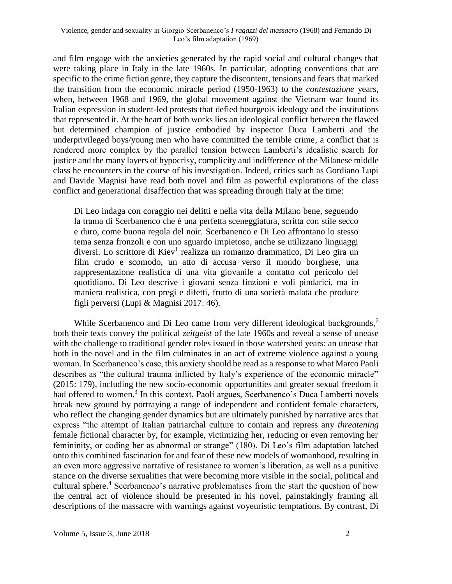and film engage with the anxieties generated by the rapid social and cultural changes that were taking place in Italy in the late 1960s. In particular, adopting conventions that are specific to the crime fiction genre, they capture the discontent, tensions and fears that marked the transition from the economic miracle period (1950-1963) to the *contestazione* years, when, between 1968 and 1969, the global movement against the Vietnam war found its Italian expression in student-led protests that defied bourgeois ideology and the institutions that represented it. At the heart of both works lies an ideological conflict between the flawed but determined champion of justice embodied by inspector Duca Lamberti and the underprivileged boys/young men who have committed the terrible crime, a conflict that is rendered more complex by the parallel tension between Lamberti's idealistic search for justice and the many layers of hypocrisy, complicity and indifference of the Milanese middle class he encounters in the course of his investigation. Indeed, critics such as Gordiano Lupi and Davide Magnisi have read both novel and film as powerful explorations of the class conflict and generational disaffection that was spreading through Italy at the time:

Di Leo indaga con coraggio nei delitti e nella vita della Milano bene, seguendo la trama di Scerbanenco che è una perfetta sceneggiatura, scritta con stile secco e duro, come buona regola del noir. Scerbanenco e Di Leo affrontano lo stesso tema senza fronzoli e con uno sguardo impietoso, anche se utilizzano linguaggi diversi. Lo scrittore di Kiev<sup>1</sup> realizza un romanzo drammatico, Di Leo gira un film crudo e scomodo, un atto di accusa verso il mondo borghese, una rappresentazione realistica di una vita giovanile a contatto col pericolo del quotidiano. Di Leo descrive i giovani senza finzioni e voli pindarici, ma in maniera realistica, con pregi e difetti, frutto di una società malata che produce figli perversi (Lupi & Magnisi 2017: 46).

While Scerbanenco and Di Leo came from very different ideological backgrounds,<sup>2</sup> both their texts convey the political *zeitgeist* of the late 1960s and reveal a sense of unease with the challenge to traditional gender roles issued in those watershed years: an unease that both in the novel and in the film culminates in an act of extreme violence against a young woman. In Scerbanenco's case, this anxiety should be read as a response to what Marco Paoli describes as "the cultural trauma inflicted by Italy's experience of the economic miracle" (2015: 179), including the new socio-economic opportunities and greater sexual freedom it had offered to women.<sup>3</sup> In this context, Paoli argues, Scerbanenco's Duca Lamberti novels break new ground by portraying a range of independent and confident female characters, who reflect the changing gender dynamics but are ultimately punished by narrative arcs that express "the attempt of Italian patriarchal culture to contain and repress any *threatening* female fictional character by, for example, victimizing her, reducing or even removing her femininity, or coding her as abnormal or strange" (180). Di Leo's film adaptation latched onto this combined fascination for and fear of these new models of womanhood, resulting in an even more aggressive narrative of resistance to women's liberation, as well as a punitive stance on the diverse sexualities that were becoming more visible in the social, political and cultural sphere.<sup>4</sup> Scerbanenco's narrative problematises from the start the question of how the central act of violence should be presented in his novel, painstakingly framing all descriptions of the massacre with warnings against voyeuristic temptations. By contrast, Di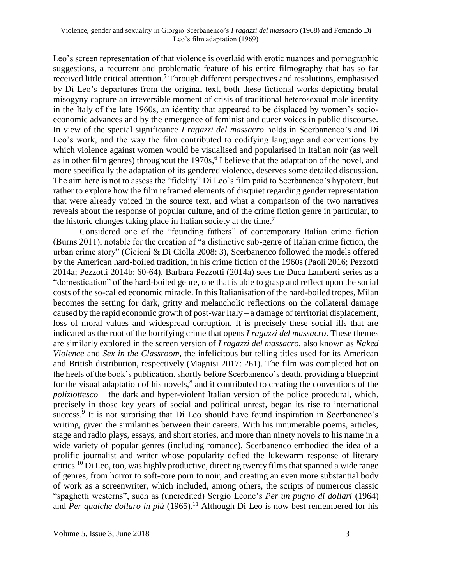Leo's screen representation of that violence is overlaid with erotic nuances and pornographic suggestions, a recurrent and problematic feature of his entire filmography that has so far received little critical attention.<sup>5</sup> Through different perspectives and resolutions, emphasised by Di Leo's departures from the original text, both these fictional works depicting brutal misogyny capture an irreversible moment of crisis of traditional heterosexual male identity in the Italy of the late 1960s, an identity that appeared to be displaced by women's socioeconomic advances and by the emergence of feminist and queer voices in public discourse. In view of the special significance *I ragazzi del massacro* holds in Scerbanenco's and Di Leo's work, and the way the film contributed to codifying language and conventions by which violence against women would be visualised and popularised in Italian noir (as well as in other film genres) throughout the 1970s,<sup>6</sup> I believe that the adaptation of the novel, and more specifically the adaptation of its gendered violence, deserves some detailed discussion. The aim here is not to assess the "fidelity" Di Leo's film paid to Scerbanenco's hypotext, but rather to explore how the film reframed elements of disquiet regarding gender representation that were already voiced in the source text, and what a comparison of the two narratives reveals about the response of popular culture, and of the crime fiction genre in particular, to the historic changes taking place in Italian society at the time.<sup>7</sup>

Considered one of the "founding fathers" of contemporary Italian crime fiction (Burns 2011), notable for the creation of "a distinctive sub-genre of Italian crime fiction, the urban crime story" (Cicioni & Di Ciolla 2008: 3), Scerbanenco followed the models offered by the American hard-boiled tradition, in his crime fiction of the 1960s (Paoli 2016; Pezzotti 2014a; Pezzotti 2014b: 60-64). Barbara Pezzotti (2014a) sees the Duca Lamberti series as a "domestication" of the hard-boiled genre, one that is able to grasp and reflect upon the social costs of the so-called economic miracle. In this Italianisation of the hard-boiled tropes, Milan becomes the setting for dark, gritty and melancholic reflections on the collateral damage caused by the rapid economic growth of post-war Italy – a damage of territorial displacement, loss of moral values and widespread corruption. It is precisely these social ills that are indicated as the root of the horrifying crime that opens *I ragazzi del massacro*. These themes are similarly explored in the screen version of *I ragazzi del massacro,* also known as *Naked Violence* and *Sex in the Classroom*, the infelicitous but telling titles used for its American and British distribution, respectively (Magnisi 2017: 261). The film was completed hot on the heels of the book's publication, shortly before Scerbanenco's death, providing a blueprint for the visual adaptation of his novels, $<sup>8</sup>$  and it contributed to creating the conventions of the</sup> *poliziottesco* – the dark and hyper-violent Italian version of the police procedural, which, precisely in those key years of social and political unrest, began its rise to international success.<sup>9</sup> It is not surprising that Di Leo should have found inspiration in Scerbanenco's writing, given the similarities between their careers. With his innumerable poems, articles, stage and radio plays, essays, and short stories, and more than ninety novels to his name in a wide variety of popular genres (including romance), Scerbanenco embodied the idea of a prolific journalist and writer whose popularity defied the lukewarm response of literary critics.<sup>10</sup> Di Leo, too, was highly productive, directing twenty films that spanned a wide range of genres, from horror to soft-core porn to noir, and creating an even more substantial body of work as a screenwriter, which included, among others, the scripts of numerous classic "spaghetti westerns", such as (uncredited) Sergio Leone's *Per un pugno di dollari* (1964) and *Per qualche dollaro in più* (1965).<sup>11</sup> Although Di Leo is now best remembered for his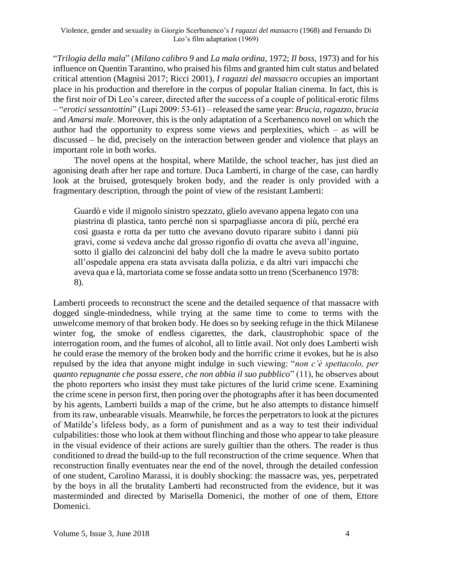"*Trilogia della mala*" (*Milano calibro 9* and *La mala ordina,* 1972; *Il boss*, 1973) and for his influence on Quentin Tarantino, who praised his films and granted him cult status and belated critical attention (Magnisi 2017; Ricci 2001), *I ragazzi del massacro* occupies an important place in his production and therefore in the corpus of popular Italian cinema. In fact, this is the first noir of Di Leo's career, directed after the success of a couple of political-erotic films – "*erotici sessantottini*" (Lupi 2009: 53-61) – released the same year: *Brucia, ragazzo, brucia* and *Amarsi male*. Moreover, this is the only adaptation of a Scerbanenco novel on which the author had the opportunity to express some views and perplexities, which – as will be discussed – he did, precisely on the interaction between gender and violence that plays an important role in both works.

The novel opens at the hospital, where Matilde, the school teacher, has just died an agonising death after her rape and torture. Duca Lamberti, in charge of the case, can hardly look at the bruised, grotesquely broken body, and the reader is only provided with a fragmentary description, through the point of view of the resistant Lamberti:

Guardò e vide il mignolo sinistro spezzato, glielo avevano appena legato con una piastrina di plastica, tanto perché non si sparpagliasse ancora di più, perché era così guasta e rotta da per tutto che avevano dovuto riparare subito i danni più gravi, come si vedeva anche dal grosso rigonfio di ovatta che aveva all'inguine, sotto il giallo dei calzoncini del baby doll che la madre le aveva subito portato all'ospedale appena era stata avvisata dalla polizia, e da altri vari impacchi che aveva qua e là, martoriata come se fosse andata sotto un treno (Scerbanenco 1978: 8).

Lamberti proceeds to reconstruct the scene and the detailed sequence of that massacre with dogged single-mindedness, while trying at the same time to come to terms with the unwelcome memory of that broken body. He does so by seeking refuge in the thick Milanese winter fog, the smoke of endless cigarettes, the dark, claustrophobic space of the interrogation room, and the fumes of alcohol, all to little avail. Not only does Lamberti wish he could erase the memory of the broken body and the horrific crime it evokes, but he is also repulsed by the idea that anyone might indulge in such viewing: "*non c'è spettacolo, per quanto repugnante che possa essere, che non abbia il suo pubblico*" (11), he observes about the photo reporters who insist they must take pictures of the lurid crime scene. Examining the crime scene in person first, then poring over the photographs after it has been documented by his agents, Lamberti builds a map of the crime, but he also attempts to distance himself from its raw, unbearable visuals. Meanwhile, he forces the perpetrators to look at the pictures of Matilde's lifeless body, as a form of punishment and as a way to test their individual culpabilities: those who look at them without flinching and those who appear to take pleasure in the visual evidence of their actions are surely guiltier than the others. The reader is thus conditioned to dread the build-up to the full reconstruction of the crime sequence. When that reconstruction finally eventuates near the end of the novel, through the detailed confession of one student, Carolino Marassi, it is doubly shocking: the massacre was, yes, perpetrated by the boys in all the brutality Lamberti had reconstructed from the evidence, but it was masterminded and directed by Marisella Domenici, the mother of one of them, Ettore Domenici.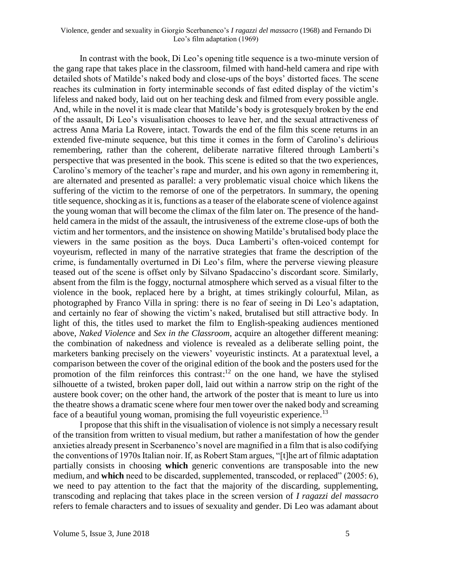#### Violence, gender and sexuality in Giorgio Scerbanenco's *I ragazzi del massacro* (1968) and Fernando Di Leo's film adaptation (1969)

In contrast with the book, Di Leo's opening title sequence is a two-minute version of the gang rape that takes place in the classroom, filmed with hand-held camera and ripe with detailed shots of Matilde's naked body and close-ups of the boys' distorted faces. The scene reaches its culmination in forty interminable seconds of fast edited display of the victim's lifeless and naked body, laid out on her teaching desk and filmed from every possible angle. And, while in the novel it is made clear that Matilde's body is grotesquely broken by the end of the assault, Di Leo's visualisation chooses to leave her, and the sexual attractiveness of actress Anna Maria La Rovere, intact. Towards the end of the film this scene returns in an extended five-minute sequence, but this time it comes in the form of Carolino's delirious remembering, rather than the coherent, deliberate narrative filtered through Lamberti's perspective that was presented in the book. This scene is edited so that the two experiences, Carolino's memory of the teacher's rape and murder, and his own agony in remembering it, are alternated and presented as parallel: a very problematic visual choice which likens the suffering of the victim to the remorse of one of the perpetrators. In summary, the opening title sequence, shocking as it is, functions as a teaser of the elaborate scene of violence against the young woman that will become the climax of the film later on. The presence of the handheld camera in the midst of the assault, the intrusiveness of the extreme close-ups of both the victim and her tormentors, and the insistence on showing Matilde's brutalised body place the viewers in the same position as the boys. Duca Lamberti's often-voiced contempt for voyeurism, reflected in many of the narrative strategies that frame the description of the crime, is fundamentally overturned in Di Leo's film, where the perverse viewing pleasure teased out of the scene is offset only by Silvano Spadaccino's discordant score. Similarly, absent from the film is the foggy, nocturnal atmosphere which served as a visual filter to the violence in the book, replaced here by a bright, at times strikingly colourful, Milan, as photographed by Franco Villa in spring: there is no fear of seeing in Di Leo's adaptation, and certainly no fear of showing the victim's naked, brutalised but still attractive body. In light of this, the titles used to market the film to English-speaking audiences mentioned above, *Naked Violence* and *Sex in the Classroom*, acquire an altogether different meaning: the combination of nakedness and violence is revealed as a deliberate selling point, the marketers banking precisely on the viewers' voyeuristic instincts. At a paratextual level, a comparison between the cover of the original edition of the book and the posters used for the promotion of the film reinforces this contrast:<sup>12</sup> on the one hand, we have the stylised silhouette of a twisted, broken paper doll, laid out within a narrow strip on the right of the austere book cover; on the other hand, the artwork of the poster that is meant to lure us into the theatre shows a dramatic scene where four men tower over the naked body and screaming face of a beautiful young woman, promising the full voyeuristic experience.<sup>13</sup>

I propose that this shift in the visualisation of violence is not simply a necessary result of the transition from written to visual medium, but rather a manifestation of how the gender anxieties already present in Scerbanenco's novel are magnified in a film that is also codifying the conventions of 1970s Italian noir. If, as Robert Stam argues, "[t]he art of filmic adaptation partially consists in choosing **which** generic conventions are transposable into the new medium, and **which** need to be discarded, supplemented, transcoded, or replaced" (2005: 6), we need to pay attention to the fact that the majority of the discarding, supplementing, transcoding and replacing that takes place in the screen version of *I ragazzi del massacro* refers to female characters and to issues of sexuality and gender. Di Leo was adamant about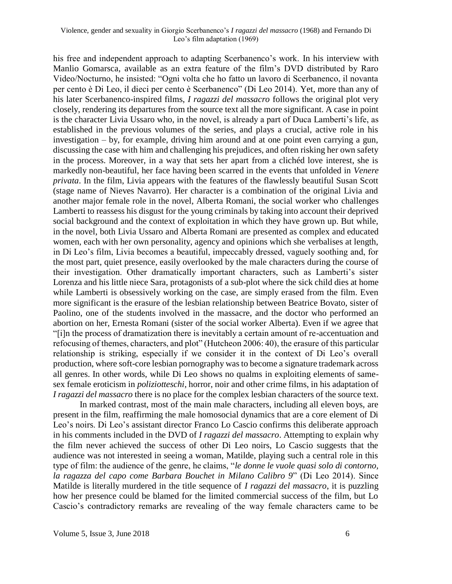his free and independent approach to adapting Scerbanenco's work. In his interview with Manlio Gomarsca, available as an extra feature of the film's DVD distributed by Raro Video/Nocturno, he insisted: "Ogni volta che ho fatto un lavoro di Scerbanenco, il novanta per cento è Di Leo, il dieci per cento è Scerbanenco" (Di Leo 2014). Yet, more than any of his later Scerbanenco-inspired films, *I ragazzi del massacro* follows the original plot very closely, rendering its departures from the source text all the more significant. A case in point is the character Livia Ussaro who, in the novel, is already a part of Duca Lamberti's life, as established in the previous volumes of the series, and plays a crucial, active role in his investigation – by, for example, driving him around and at one point even carrying a gun, discussing the case with him and challenging his prejudices, and often risking her own safety in the process. Moreover, in a way that sets her apart from a clichéd love interest, she is markedly non-beautiful, her face having been scarred in the events that unfolded in *Venere privata*. In the film, Livia appears with the features of the flawlessly beautiful Susan Scott (stage name of Nieves Navarro). Her character is a combination of the original Livia and another major female role in the novel, Alberta Romani, the social worker who challenges Lamberti to reassess his disgust for the young criminals by taking into account their deprived social background and the context of exploitation in which they have grown up. But while, in the novel, both Livia Ussaro and Alberta Romani are presented as complex and educated women, each with her own personality, agency and opinions which she verbalises at length, in Di Leo's film, Livia becomes a beautiful, impeccably dressed, vaguely soothing and, for the most part, quiet presence, easily overlooked by the male characters during the course of their investigation. Other dramatically important characters, such as Lamberti's sister Lorenza and his little niece Sara, protagonists of a sub-plot where the sick child dies at home while Lamberti is obsessively working on the case, are simply erased from the film. Even more significant is the erasure of the lesbian relationship between Beatrice Bovato, sister of Paolino, one of the students involved in the massacre, and the doctor who performed an abortion on her, Ernesta Romani (sister of the social worker Alberta). Even if we agree that "[i]n the process of dramatization there is inevitably a certain amount of re-accentuation and refocusing of themes, characters, and plot" (Hutcheon 2006: 40), the erasure of this particular relationship is striking, especially if we consider it in the context of Di Leo's overall production, where soft-core lesbian pornography was to become a signature trademark across all genres. In other words, while Di Leo shows no qualms in exploiting elements of samesex female eroticism in *poliziotteschi*, horror, noir and other crime films, in his adaptation of *I ragazzi del massacro* there is no place for the complex lesbian characters of the source text.

In marked contrast, most of the main male characters, including all eleven boys, are present in the film, reaffirming the male homosocial dynamics that are a core element of Di Leo's noirs. Di Leo's assistant director Franco Lo Cascio confirms this deliberate approach in his comments included in the DVD of *I ragazzi del massacro*. Attempting to explain why the film never achieved the success of other Di Leo noirs, Lo Cascio suggests that the audience was not interested in seeing a woman, Matilde, playing such a central role in this type of film: the audience of the genre, he claims, "*le donne le vuole quasi solo di contorno, la ragazza del capo come Barbara Bouchet in Milano Calibro 9*" (Di Leo 2014). Since Matilde is literally murdered in the title sequence of *I ragazzi del massacro*, it is puzzling how her presence could be blamed for the limited commercial success of the film, but Lo Cascio's contradictory remarks are revealing of the way female characters came to be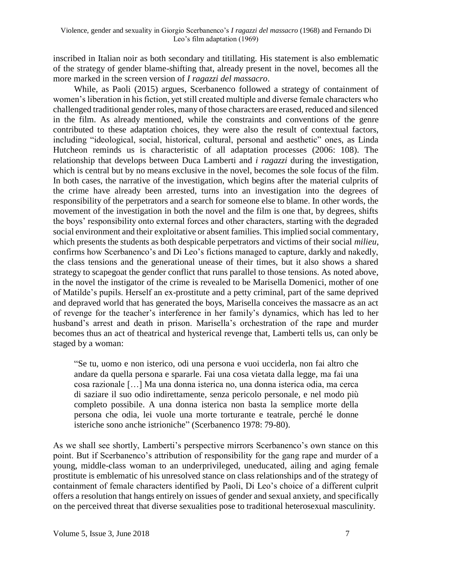inscribed in Italian noir as both secondary and titillating. His statement is also emblematic of the strategy of gender blame-shifting that, already present in the novel, becomes all the more marked in the screen version of *I ragazzi del massacro*.

While, as Paoli (2015) argues, Scerbanenco followed a strategy of containment of women's liberation in his fiction, yet still created multiple and diverse female characters who challenged traditional gender roles, many of those characters are erased, reduced and silenced in the film. As already mentioned, while the constraints and conventions of the genre contributed to these adaptation choices, they were also the result of contextual factors, including "ideological, social, historical, cultural, personal and aesthetic" ones, as Linda Hutcheon reminds us is characteristic of all adaptation processes (2006: 108). The relationship that develops between Duca Lamberti and *i ragazzi* during the investigation, which is central but by no means exclusive in the novel, becomes the sole focus of the film. In both cases, the narrative of the investigation, which begins after the material culprits of the crime have already been arrested, turns into an investigation into the degrees of responsibility of the perpetrators and a search for someone else to blame. In other words, the movement of the investigation in both the novel and the film is one that, by degrees, shifts the boys' responsibility onto external forces and other characters, starting with the degraded social environment and their exploitative or absent families. This implied social commentary, which presents the students as both despicable perpetrators and victims of their social *milieu*, confirms how Scerbanenco's and Di Leo's fictions managed to capture, darkly and nakedly, the class tensions and the generational unease of their times, but it also shows a shared strategy to scapegoat the gender conflict that runs parallel to those tensions. As noted above, in the novel the instigator of the crime is revealed to be Marisella Domenici, mother of one of Matilde's pupils. Herself an ex-prostitute and a petty criminal, part of the same deprived and depraved world that has generated the boys, Marisella conceives the massacre as an act of revenge for the teacher's interference in her family's dynamics, which has led to her husband's arrest and death in prison. Marisella's orchestration of the rape and murder becomes thus an act of theatrical and hysterical revenge that, Lamberti tells us, can only be staged by a woman:

"Se tu, uomo e non isterico, odi una persona e vuoi ucciderla, non fai altro che andare da quella persona e spararle. Fai una cosa vietata dalla legge, ma fai una cosa razionale […] Ma una donna isterica no, una donna isterica odia, ma cerca di saziare il suo odio indirettamente, senza pericolo personale, e nel modo più completo possibile. A una donna isterica non basta la semplice morte della persona che odia, lei vuole una morte torturante e teatrale, perché le donne isteriche sono anche istrioniche" (Scerbanenco 1978: 79-80).

As we shall see shortly, Lamberti's perspective mirrors Scerbanenco's own stance on this point. But if Scerbanenco's attribution of responsibility for the gang rape and murder of a young, middle-class woman to an underprivileged, uneducated, ailing and aging female prostitute is emblematic of his unresolved stance on class relationships and of the strategy of containment of female characters identified by Paoli, Di Leo's choice of a different culprit offers a resolution that hangs entirely on issues of gender and sexual anxiety, and specifically on the perceived threat that diverse sexualities pose to traditional heterosexual masculinity.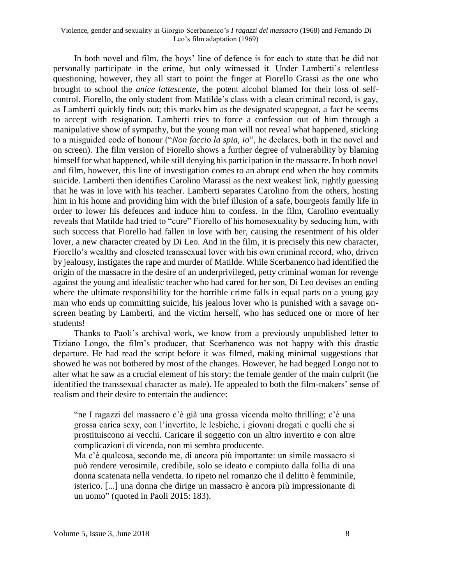#### Violence, gender and sexuality in Giorgio Scerbanenco's *I ragazzi del massacro* (1968) and Fernando Di Leo's film adaptation (1969)

In both novel and film, the boys' line of defence is for each to state that he did not personally participate in the crime, but only witnessed it. Under Lamberti's relentless questioning, however, they all start to point the finger at Fiorello Grassi as the one who brought to school the *anice lattescente*, the potent alcohol blamed for their loss of selfcontrol. Fiorello, the only student from Matilde's class with a clean criminal record, is gay, as Lamberti quickly finds out; this marks him as the designated scapegoat, a fact he seems to accept with resignation. Lamberti tries to force a confession out of him through a manipulative show of sympathy, but the young man will not reveal what happened, sticking to a misguided code of honour ("*Non faccio la spia, io*", he declares, both in the novel and on screen). The film version of Fiorello shows a further degree of vulnerability by blaming himself for what happened, while still denying his participation in the massacre. In both novel and film, however, this line of investigation comes to an abrupt end when the boy commits suicide. Lamberti then identifies Carolino Marassi as the next weakest link, rightly guessing that he was in love with his teacher. Lamberti separates Carolino from the others, hosting him in his home and providing him with the brief illusion of a safe, bourgeois family life in order to lower his defences and induce him to confess. In the film, Carolino eventually reveals that Matilde had tried to "cure" Fiorello of his homosexuality by seducing him, with such success that Fiorello had fallen in love with her, causing the resentment of his older lover, a new character created by Di Leo. And in the film, it is precisely this new character, Fiorello's wealthy and closeted transsexual lover with his own criminal record, who, driven by jealousy, instigates the rape and murder of Matilde. While Scerbanenco had identified the origin of the massacre in the desire of an underprivileged, petty criminal woman for revenge against the young and idealistic teacher who had cared for her son, Di Leo devises an ending where the ultimate responsibility for the horrible crime falls in equal parts on a young gay man who ends up committing suicide, his jealous lover who is punished with a savage onscreen beating by Lamberti, and the victim herself, who has seduced one or more of her students!

Thanks to Paoli's archival work, we know from a previously unpublished letter to Tiziano Longo, the film's producer, that Scerbanenco was not happy with this drastic departure. He had read the script before it was filmed, making minimal suggestions that showed he was not bothered by most of the changes. However, he had begged Longo not to alter what he saw as a crucial element of his story: the female gender of the main culprit (he identified the transsexual character as male). He appealed to both the film-makers' sense of realism and their desire to entertain the audience:

"ne I ragazzi del massacro c'è già una grossa vicenda molto thrilling; c'è una grossa carica sexy, con l'invertito, le lesbiche, i giovani drogati e quelli che si prostituiscono ai vecchi. Caricare il soggetto con un altro invertito e con altre complicazioni di vicenda, non mi sembra producente.

Ma c'è qualcosa, secondo me, di ancora più importante: un simile massacro si può rendere verosimile, credibile, solo se ideato e compiuto dalla follia di una donna scatenata nella vendetta. Io ripeto nel romanzo che il delitto è femminile, isterico. [...] una donna che dirige un massacro è ancora più impressionante di un uomo" (quoted in Paoli 2015: 183).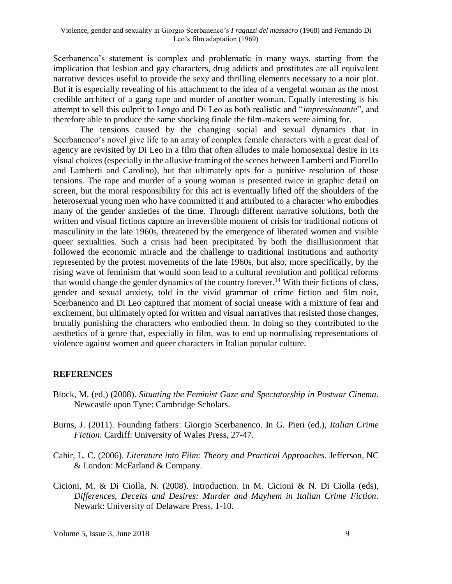Scerbanenco's statement is complex and problematic in many ways, starting from the implication that lesbian and gay characters, drug addicts and prostitutes are all equivalent narrative devices useful to provide the sexy and thrilling elements necessary to a noir plot. But it is especially revealing of his attachment to the idea of a vengeful woman as the most credible architect of a gang rape and murder of another woman. Equally interesting is his attempt to sell this culprit to Longo and Di Leo as both realistic and "*impressionante*", and therefore able to produce the same shocking finale the film-makers were aiming for.

The tensions caused by the changing social and sexual dynamics that in Scerbanenco's novel give life to an array of complex female characters with a great deal of agency are revisited by Di Leo in a film that often alludes to male homosexual desire in its visual choices (especially in the allusive framing of the scenes between Lamberti and Fiorello and Lamberti and Carolino), but that ultimately opts for a punitive resolution of those tensions. The rape and murder of a young woman is presented twice in graphic detail on screen, but the moral responsibility for this act is eventually lifted off the shoulders of the heterosexual young men who have committed it and attributed to a character who embodies many of the gender anxieties of the time. Through different narrative solutions, both the written and visual fictions capture an irreversible moment of crisis for traditional notions of masculinity in the late 1960s, threatened by the emergence of liberated women and visible queer sexualities. Such a crisis had been precipitated by both the disillusionment that followed the economic miracle and the challenge to traditional institutions and authority represented by the protest movements of the late 1960s, but also, more specifically, by the rising wave of feminism that would soon lead to a cultural revolution and political reforms that would change the gender dynamics of the country forever.<sup>14</sup> With their fictions of class, gender and sexual anxiety, told in the vivid grammar of crime fiction and film noir, Scerbanenco and Di Leo captured that moment of social unease with a mixture of fear and excitement, but ultimately opted for written and visual narratives that resisted those changes, brutally punishing the characters who embodied them. In doing so they contributed to the aesthetics of a genre that, especially in film, was to end up normalising representations of violence against women and queer characters in Italian popular culture.

### **REFERENCES**

- Block, M. (ed.) (2008). *Situating the Feminist Gaze and Spectatorship in Postwar Cinema*. Newcastle upon Tyne: Cambridge Scholars.
- Burns, J. (2011). Founding fathers: Giorgio Scerbanenco. In G. Pieri (ed.), *Italian Crime Fiction*. Cardiff: University of Wales Press, 27-47.
- Cahir, L. C. (2006). *Literature into Film: Theory and Practical Approaches*. Jefferson, NC & London: McFarland & Company.
- Cicioni, M. & Di Ciolla, N. (2008). Introduction. In M. Cicioni & N. Di Ciolla (eds), *Differences, Deceits and Desires: Murder and Mayhem in Italian Crime Fiction*. Newark: University of Delaware Press, 1-10.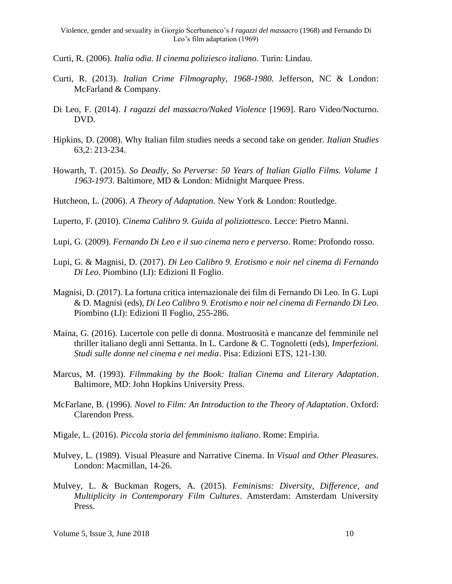- Curti, R. (2006). *Italia odia*. *Il cinema poliziesco italiano*. Turin: Lindau.
- Curti, R. (2013). *Italian Crime Filmography, 1968-1980*. Jefferson, NC & London: McFarland & Company.
- Di Leo, F. (2014). *I ragazzi del massacro/Naked Violence* [1969]. Raro Video/Nocturno. DVD.
- Hipkins, D. (2008). Why Italian film studies needs a second take on gender. *Italian Studies* 63,2: 213-234.
- Howarth, T. (2015). *So Deadly, So Perverse: 50 Years of Italian Giallo Films. Volume 1 1963-1973*. Baltimore, MD & London: Midnight Marquee Press.
- Hutcheon, L. (2006). *A Theory of Adaptation*. New York & London: Routledge.
- Luperto, F. (2010). *Cinema Calibro 9. Guida al poliziottesco*. Lecce: Pietro Manni.
- Lupi, G. (2009). *Fernando Di Leo e il suo cinema nero e perverso*. Rome: Profondo rosso.
- Lupi, G. & Magnisi, D. (2017). *Di Leo Calibro 9. Erotismo e noir nel cinema di Fernando Di Leo*. Piombino (LI): Edizioni Il Foglio.
- Magnisi, D. (2017). La fortuna critica internazionale dei film di Fernando Di Leo. In G. Lupi & D. Magnisi (eds), *Di Leo Calibro 9. Erotismo e noir nel cinema di Fernando Di Leo*. Piombino (LI): Edizioni Il Foglio, 255-286.
- Maina, G. (2016). Lucertole con pelle di donna. Mostruosità e mancanze del femminile nel thriller italiano degli anni Settanta. In L. Cardone & C. Tognoletti (eds), *Imperfezioni. Studi sulle donne nel cinema e nei media*. Pisa: Edizioni ETS, 121-130.
- Marcus, M. (1993). *Filmmaking by the Book: Italian Cinema and Literary Adaptation*. Baltimore, MD: John Hopkins University Press.
- McFarlane, B. (1996). *Novel to Film: An Introduction to the Theory of Adaptation*. Oxford: Clarendon Press.
- Migale, L. (2016). *Piccola storia del femminismo italiano*. Rome: Empirìa.
- Mulvey, L. (1989). Visual Pleasure and Narrative Cinema. In *Visual and Other Pleasures*. London: Macmillan, 14-26.
- Mulvey, L. & Buckman Rogers, A. (2015). *Feminisms: Diversity, Difference, and Multiplicity in Contemporary Film Cultures*. Amsterdam: Amsterdam University Press.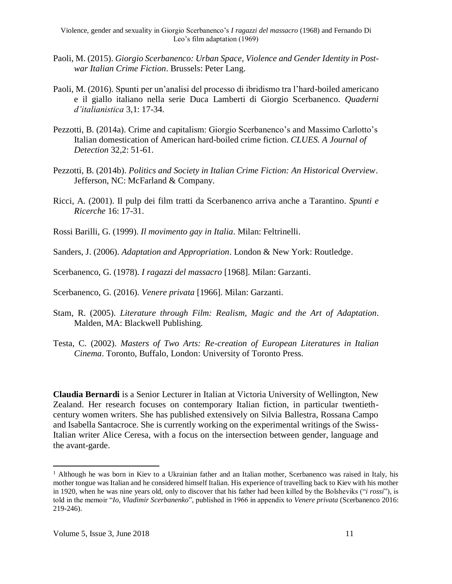- Paoli, M. (2015). *Giorgio Scerbanenco: Urban Space, Violence and Gender Identity in Postwar Italian Crime Fiction*. Brussels: Peter Lang.
- Paoli, M. (2016). Spunti per un'analisi del processo di ibridismo tra l'hard-boiled americano e il giallo italiano nella serie Duca Lamberti di Giorgio Scerbanenco. *Quaderni d'italianistica* 3,1: 17-34.
- Pezzotti, B. (2014a). Crime and capitalism: Giorgio Scerbanenco's and Massimo Carlotto's Italian domestication of American hard-boiled crime fiction. *CLUES. A Journal of Detection* 32,2: 51-61.
- Pezzotti, B. (2014b). *Politics and Society in Italian Crime Fiction: An Historical Overview*. Jefferson, NC: McFarland & Company.
- Ricci, A. (2001). Il pulp dei film tratti da Scerbanenco arriva anche a Tarantino. *Spunti e Ricerche* 16: 17-31.
- Rossi Barilli, G. (1999). *Il movimento gay in Italia*. Milan: Feltrinelli.
- Sanders, J. (2006). *Adaptation and Appropriation*. London & New York: Routledge.
- Scerbanenco, G. (1978). *I ragazzi del massacro* [1968]. Milan: Garzanti.
- Scerbanenco, G. (2016). *Venere privata* [1966]. Milan: Garzanti.
- Stam, R. (2005). *Literature through Film: Realism, Magic and the Art of Adaptation*. Malden, MA: Blackwell Publishing.
- Testa, C. (2002). *Masters of Two Arts: Re-creation of European Literatures in Italian Cinema*. Toronto, Buffalo, London: University of Toronto Press.

**Claudia Bernardi** is a Senior Lecturer in Italian at Victoria University of Wellington, New Zealand. Her research focuses on contemporary Italian fiction, in particular twentiethcentury women writers. She has published extensively on Silvia Ballestra, Rossana Campo and Isabella Santacroce. She is currently working on the experimental writings of the Swiss-Italian writer Alice Ceresa, with a focus on the intersection between gender, language and the avant-garde.

 $\overline{a}$ 

<sup>&</sup>lt;sup>1</sup> Although he was born in Kiev to a Ukrainian father and an Italian mother, Scerbanenco was raised in Italy, his mother tongue was Italian and he considered himself Italian. His experience of travelling back to Kiev with his mother in 1920, when he was nine years old, only to discover that his father had been killed by the Bolsheviks ("*i rossi*"), is told in the memoir "*Io, Vladimir Scerbanenko*", published in 1966 in appendix to *Venere privata* (Scerbanenco 2016: 219-246).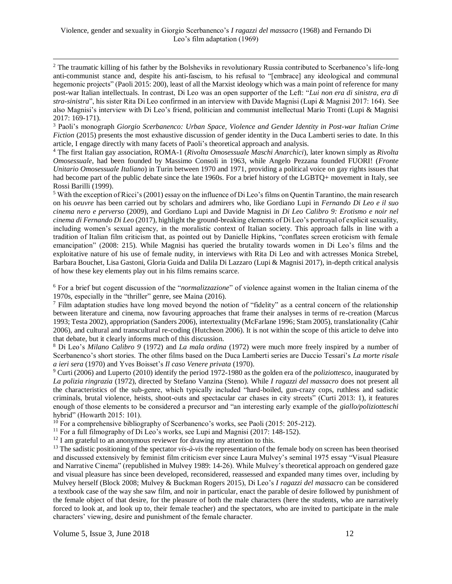l <sup>2</sup> The traumatic killing of his father by the Bolsheviks in revolutionary Russia contributed to Scerbanenco's life-long anti-communist stance and, despite his anti-fascism, to his refusal to "[embrace] any ideological and communal hegemonic projects" (Paoli 2015: 200), least of all the Marxist ideology which was a main point of reference for many post-war Italian intellectuals. In contrast, Di Leo was an open supporter of the Left: "*Lui non era di sinistra, era di stra-sinistra*", his sister Rita Di Leo confirmed in an interview with Davide Magnisi (Lupi & Magnisi 2017: 164). See also Magnisi's interview with Di Leo's friend, politician and communist intellectual Mario Tronti (Lupi & Magnisi 2017: 169-171).

<sup>3</sup> Paoli's monograph *Giorgio Scerbanenco: Urban Space, Violence and Gender Identity in Post-war Italian Crime Fiction* (2015) presents the most exhaustive discussion of gender identity in the Duca Lamberti series to date. In this article, I engage directly with many facets of Paoli's theoretical approach and analysis.

<sup>4</sup> The first Italian gay association, ROMA-1 (*Rivolta Omosessuale Maschi Anarchici*), later known simply as *Rivolta Omosessuale*, had been founded by Massimo Consoli in 1963, while Angelo Pezzana founded FUORI! (*Fronte Unitario Omosessuale Italiano*) in Turin between 1970 and 1971, providing a political voice on gay rights issues that had become part of the public debate since the late 1960s. For a brief history of the LGBTQ+ movement in Italy, see Rossi Barilli (1999).

<sup>5</sup> With the exception of Ricci's (2001) essay on the influence of Di Leo's films on Quentin Tarantino, the main research on his *oeuvre* has been carried out by scholars and admirers who, like Gordiano Lupi in *Fernando Di Leo e il suo cinema nero e perverso* (2009), and Gordiano Lupi and Davide Magnisi in *Di Leo Calibro 9: Erotismo e noir nel cinema di Fernando Di Leo* (2017)*,* highlight the ground-breaking elements of Di Leo's portrayal of explicit sexuality, including women's sexual agency, in the moralistic context of Italian society. This approach falls in line with a tradition of Italian film criticism that, as pointed out by Danielle Hipkins, "conflates screen eroticism with female emancipation" (2008: 215). While Magnisi has queried the brutality towards women in Di Leo's films and the exploitative nature of his use of female nudity, in interviews with Rita Di Leo and with actresses Monica Strebel, Barbara Bouchet, Lisa Gastoni, Gloria Guida and Dalila Di Lazzaro (Lupi & Magnisi 2017), in-depth critical analysis of how these key elements play out in his films remains scarce.

<sup>6</sup> For a brief but cogent discussion of the "*normalizzazione*" of violence against women in the Italian cinema of the 1970s, especially in the "thriller" genre, see Maina (2016).

 $<sup>7</sup>$  Film adaptation studies have long moved beyond the notion of "fidelity" as a central concern of the relationship</sup> between literature and cinema, now favouring approaches that frame their analyses in terms of re-creation (Marcus 1993; Testa 2002), appropriation (Sanders 2006), intertextuality (McFarlane 1996; Stam 2005), translationality (Cahir 2006), and cultural and transcultural re-coding (Hutcheon 2006). It is not within the scope of this article to delve into that debate, but it clearly informs much of this discussion.

<sup>8</sup> Di Leo's *Milano Calibro 9* (1972) and *La mala ordina* (1972) were much more freely inspired by a number of Scerbanenco's short stories. The other films based on the Duca Lamberti series are Duccio Tessari's *La morte risale a ieri sera* (1970) and Yves Boisset's *Il caso Venere privata* (1970).

<sup>9</sup> Curti (2006) and Luperto (2010) identify the period 1972-1980 as the golden era of the *poliziottesco*, inaugurated by *La polizia ringrazia* (1972), directed by Stefano Vanzina (Steno). While *I ragazzi del massacro* does not present all the characteristics of the sub-genre, which typically included "hard-boiled, gun-crazy cops, ruthless and sadistic criminals, brutal violence, heists, shoot-outs and spectacular car chases in city streets" (Curti 2013: 1), it features enough of those elements to be considered a precursor and "an interesting early example of the *giallo/poliziotteschi* hybrid" (Howarth 2015: 101).

 $10$  For a comprehensive bibliography of Scerbanenco's works, see Paoli (2015: 205-212).

<sup>11</sup> For a full filmography of Di Leo's works, see Lupi and Magnisi (2017: 148-152).

 $12$  I am grateful to an anonymous reviewer for drawing my attention to this.

<sup>13</sup> The sadistic positioning of the spectator *vis-à-vis* the representation of the female body on screen has been theorised and discussed extensively by feminist film criticism ever since Laura Mulvey's seminal 1975 essay "Visual Pleasure and Narrative Cinema" (republished in Mulvey 1989: 14-26). While Mulvey's theoretical approach on gendered gaze and visual pleasure has since been developed, reconsidered, reassessed and expanded many times over, including by Mulvey herself (Block 2008; Mulvey & Buckman Rogers 2015), Di Leo's *I ragazzi del massacro* can be considered a textbook case of the way she saw film, and noir in particular, enact the parable of desire followed by punishment of the female object of that desire, for the pleasure of both the male characters (here the students, who are narratively forced to look at, and look up to, their female teacher) and the spectators, who are invited to participate in the male characters' viewing, desire and punishment of the female character.